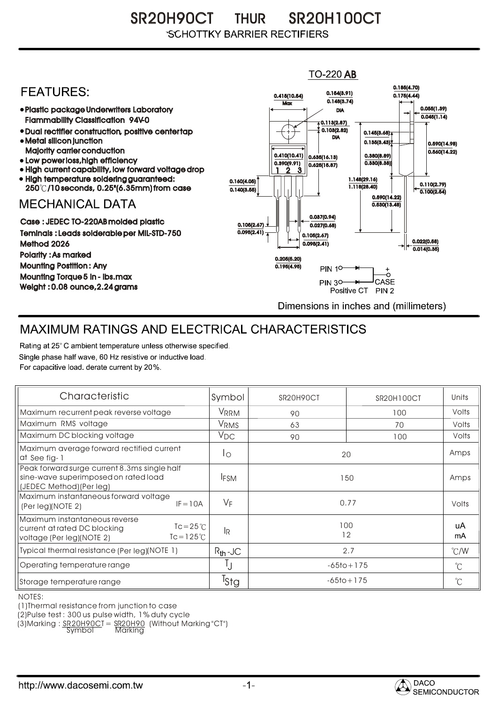SR20H90CT THUR SR20H100CT **SCHOTTKY BARRIER RECTIFIERS** 

## $TO-220$  AB 0.185(4.70) **FFATURFS:** 0.154(3.91) 0.415(10.54) 0.175(4.44)  $0.148(3.74)$ **Max** Plastic package Underwriters Laboratory 0.055(1.39) DIA  $0.045(1.14)$ Flammability Classification 94V-0  $\overline{4}$  0.113(2.87) 0.103(2.82) Dual rectifier construction, positive center tap 0.145(3.68) DIA Metal silicon junction  $0.135(3.43)$ 0.590(14.98) Majority carrier conduction  $0.560(14.22)$ 0.410(10.41) 0.380(8.89) 0.635(16.13) • Low power loss, high efficiency 0.330(8.38)) 0.390(9.91)  $0.625(15.87)$ High current capability, low forward voltage drop 1 3 2 High temperature soldering guaranteed: 1.148(29.16) 0.160(4.05) 0.110(2.79) 250 /10 seconds, 0.25"(6.35mm) from case 1.118(28.40) 0.140(3.55)  $\overline{0.100(2.54)}$ 0.590(14.22) **MECHANICAL DATA**  $0.530(13.48)$ 0.037(0.94) Case : JEDEC TO-220AB molded plastic 0.105(2.67)  $0.027(0.68)$ Teminals : Leads solderable per MIL-STD-750  $0.095(2.41)$ 0.105(2.67) 0.022(0.58) Method 2026  $0.095(2.41)$  $0.014(0.35)$ Polarity : As marked 0.205(5.20) Mounting Postition : Any 0.195(4.95) **PIN 10-**Mounting Torque 5 in - lbs.max **PIN 30-**CASE  $\overline{\phantom{a}}$ Weight : 0.08 ounce,2.24 grams Positive CT PIN 2 Dimensions in inches and (millimeters)

## MAXIMUM RATINGS AND ELECTRICAL CHARACTERISTICS

Rating at 25° C ambient temperature unless otherwise specified. Single phase half wave, 60 Hz resistive or inductive load. For capacitive load, derate current by 20%.

| Characteristic                                                                                                                         | Symbol           | SR <sub>20</sub> H <sub>90</sub> CT | <b>SR20H100CT</b> | Units         |
|----------------------------------------------------------------------------------------------------------------------------------------|------------------|-------------------------------------|-------------------|---------------|
| Maximum recurrent peak reverse voltage                                                                                                 | VRRM             | 90                                  | 100               | Volts         |
| Maximum RMS voltage                                                                                                                    | V <sub>RMS</sub> | 63                                  | 70                | Volts         |
| Maximum DC blocking voltage                                                                                                            | $V_{DC}$         | 90                                  | 100               | Volts         |
| Maximum average forward rectified current<br>at See fig-1                                                                              | Ιo               | 20                                  |                   | Amps          |
| Peak forward surge current 8.3ms single half<br>sine-wave superimposed on rated load<br>(JEDEC Method) (Per leg)                       | <b>IFSM</b>      | 150                                 |                   | Amps          |
| Maximum instantaneous forward voltage<br>$IF = 10A$<br>(Per leg)(NOTE 2)                                                               | $V_F$            | 0.77                                |                   | Volts         |
| Maximum instantaneous reverse<br>$Tc = 25^{\circ}C$<br>current at rated DC blocking<br>$Tc = 125^{\circ}$<br>voltage (Per leg)(NOTE 2) | 1R               | 100<br>12                           |                   | uA<br>mA      |
| Typical thermal resistance (Per leg)(NOTE 1)                                                                                           | $R_{th}$ -JC     | 2.7                                 |                   | $\degree$ C/W |
| Operating temperature range                                                                                                            |                  | $-65$ to + 175                      |                   | $^{\circ}C$   |
| Storage temperature range                                                                                                              | <sup>I</sup> Stg | $-65$ to + 175                      |                   | $^{\circ}C$   |

NOTES:

(1)Thermal resistance from junction to case

(2)Pulse test : 300 us pulse width, 1% duty cycle

(3)Marking : <u>SR20H90C</u>T = SR20H90 (Without Marking "CT")

Symbol Marking